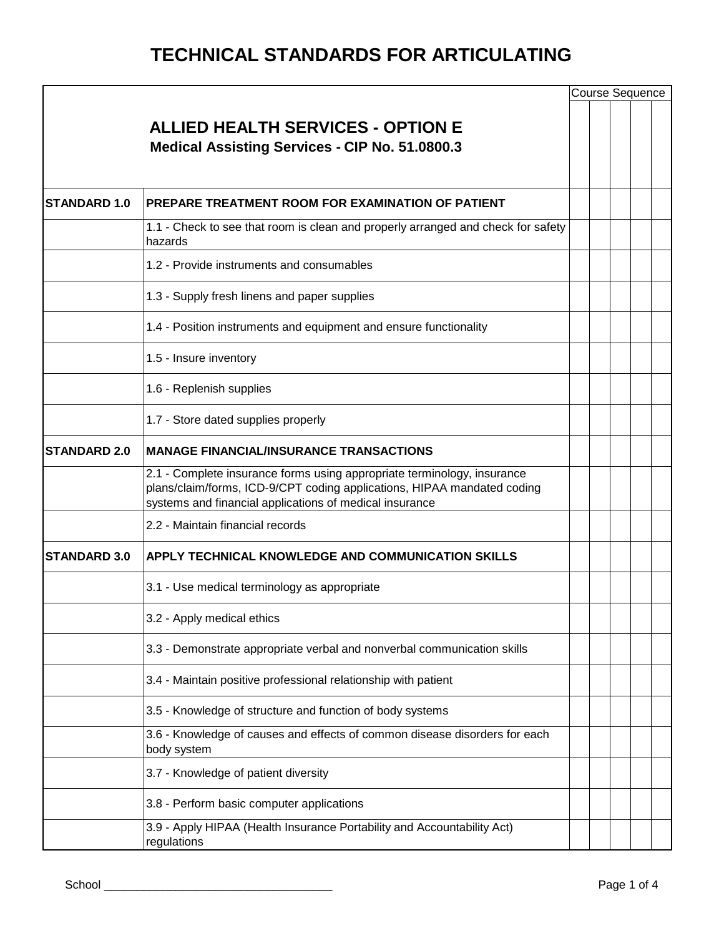|                      |                                                                                                                                                                                                               |  | <b>Course Sequence</b> |  |
|----------------------|---------------------------------------------------------------------------------------------------------------------------------------------------------------------------------------------------------------|--|------------------------|--|
|                      | <b>ALLIED HEALTH SERVICES - OPTION E</b><br><b>Medical Assisting Services - CIP No. 51.0800.3</b>                                                                                                             |  |                        |  |
| <b>ISTANDARD 1.0</b> | PREPARE TREATMENT ROOM FOR EXAMINATION OF PATIENT                                                                                                                                                             |  |                        |  |
|                      | 1.1 - Check to see that room is clean and properly arranged and check for safety<br>hazards                                                                                                                   |  |                        |  |
|                      | 1.2 - Provide instruments and consumables                                                                                                                                                                     |  |                        |  |
|                      | 1.3 - Supply fresh linens and paper supplies                                                                                                                                                                  |  |                        |  |
|                      | 1.4 - Position instruments and equipment and ensure functionality                                                                                                                                             |  |                        |  |
|                      | 1.5 - Insure inventory                                                                                                                                                                                        |  |                        |  |
|                      | 1.6 - Replenish supplies                                                                                                                                                                                      |  |                        |  |
|                      | 1.7 - Store dated supplies properly                                                                                                                                                                           |  |                        |  |
| <b>STANDARD 2.0</b>  | <b>MANAGE FINANCIAL/INSURANCE TRANSACTIONS</b>                                                                                                                                                                |  |                        |  |
|                      | 2.1 - Complete insurance forms using appropriate terminology, insurance<br>plans/claim/forms, ICD-9/CPT coding applications, HIPAA mandated coding<br>systems and financial applications of medical insurance |  |                        |  |
|                      | 2.2 - Maintain financial records                                                                                                                                                                              |  |                        |  |
| <b>STANDARD 3.0</b>  | APPLY TECHNICAL KNOWLEDGE AND COMMUNICATION SKILLS                                                                                                                                                            |  |                        |  |
|                      | 3.1 - Use medical terminology as appropriate                                                                                                                                                                  |  |                        |  |
|                      | 3.2 - Apply medical ethics                                                                                                                                                                                    |  |                        |  |
|                      | 3.3 - Demonstrate appropriate verbal and nonverbal communication skills                                                                                                                                       |  |                        |  |
|                      | 3.4 - Maintain positive professional relationship with patient                                                                                                                                                |  |                        |  |
|                      | 3.5 - Knowledge of structure and function of body systems                                                                                                                                                     |  |                        |  |
|                      | 3.6 - Knowledge of causes and effects of common disease disorders for each<br>body system                                                                                                                     |  |                        |  |
|                      | 3.7 - Knowledge of patient diversity                                                                                                                                                                          |  |                        |  |
|                      | 3.8 - Perform basic computer applications                                                                                                                                                                     |  |                        |  |
|                      | 3.9 - Apply HIPAA (Health Insurance Portability and Accountability Act)<br>regulations                                                                                                                        |  |                        |  |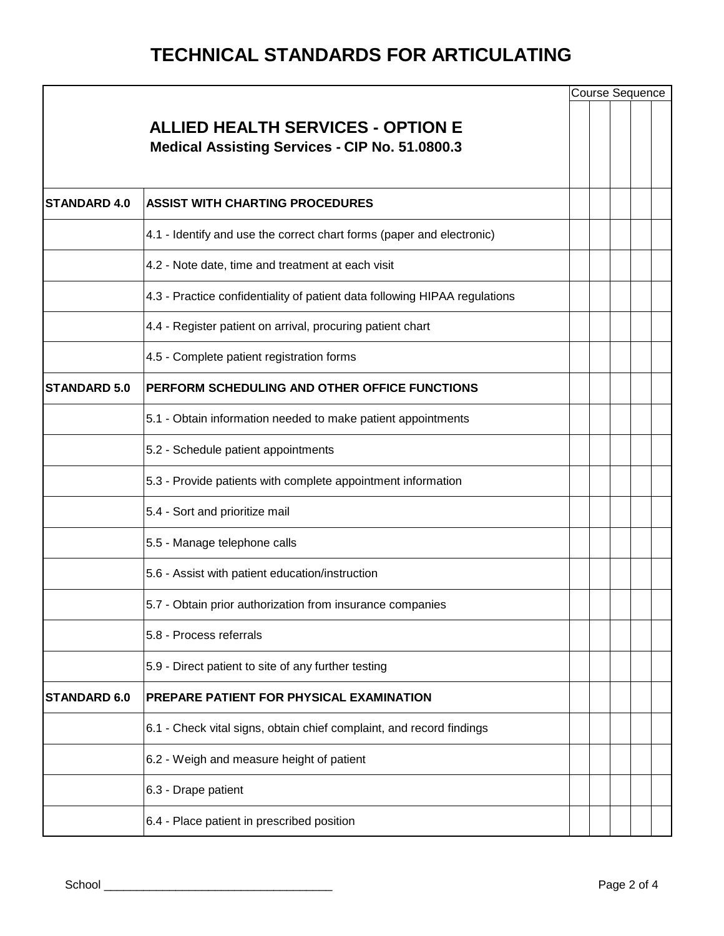|                     |                                                                                                   |  | Course Sequence |  |
|---------------------|---------------------------------------------------------------------------------------------------|--|-----------------|--|
|                     | <b>ALLIED HEALTH SERVICES - OPTION E</b><br><b>Medical Assisting Services - CIP No. 51.0800.3</b> |  |                 |  |
| <b>STANDARD 4.0</b> | <b>ASSIST WITH CHARTING PROCEDURES</b>                                                            |  |                 |  |
|                     | 4.1 - Identify and use the correct chart forms (paper and electronic)                             |  |                 |  |
|                     | 4.2 - Note date, time and treatment at each visit                                                 |  |                 |  |
|                     | 4.3 - Practice confidentiality of patient data following HIPAA regulations                        |  |                 |  |
|                     | 4.4 - Register patient on arrival, procuring patient chart                                        |  |                 |  |
|                     | 4.5 - Complete patient registration forms                                                         |  |                 |  |
| <b>STANDARD 5.0</b> | PERFORM SCHEDULING AND OTHER OFFICE FUNCTIONS                                                     |  |                 |  |
|                     | 5.1 - Obtain information needed to make patient appointments                                      |  |                 |  |
|                     | 5.2 - Schedule patient appointments                                                               |  |                 |  |
|                     | 5.3 - Provide patients with complete appointment information                                      |  |                 |  |
|                     | 5.4 - Sort and prioritize mail                                                                    |  |                 |  |
|                     | 5.5 - Manage telephone calls                                                                      |  |                 |  |
|                     | 5.6 - Assist with patient education/instruction                                                   |  |                 |  |
|                     | 5.7 - Obtain prior authorization from insurance companies                                         |  |                 |  |
|                     | 5.8 - Process referrals                                                                           |  |                 |  |
|                     | 5.9 - Direct patient to site of any further testing                                               |  |                 |  |
| <b>STANDARD 6.0</b> | PREPARE PATIENT FOR PHYSICAL EXAMINATION                                                          |  |                 |  |
|                     | 6.1 - Check vital signs, obtain chief complaint, and record findings                              |  |                 |  |
|                     | 6.2 - Weigh and measure height of patient                                                         |  |                 |  |
|                     | 6.3 - Drape patient                                                                               |  |                 |  |
|                     | 6.4 - Place patient in prescribed position                                                        |  |                 |  |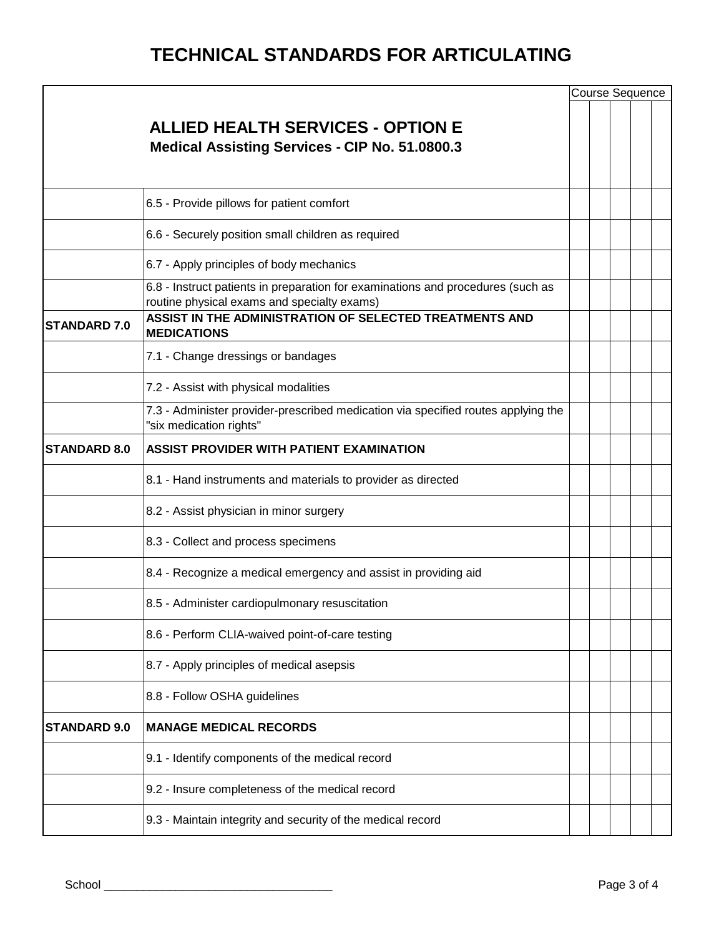|                     |                                                                                                                                |  |  | Course Sequence |  |  |  |  |
|---------------------|--------------------------------------------------------------------------------------------------------------------------------|--|--|-----------------|--|--|--|--|
|                     | <b>ALLIED HEALTH SERVICES - OPTION E</b><br><b>Medical Assisting Services - CIP No. 51.0800.3</b>                              |  |  |                 |  |  |  |  |
|                     | 6.5 - Provide pillows for patient comfort                                                                                      |  |  |                 |  |  |  |  |
|                     | 6.6 - Securely position small children as required                                                                             |  |  |                 |  |  |  |  |
|                     | 6.7 - Apply principles of body mechanics                                                                                       |  |  |                 |  |  |  |  |
|                     | 6.8 - Instruct patients in preparation for examinations and procedures (such as<br>routine physical exams and specialty exams) |  |  |                 |  |  |  |  |
| <b>STANDARD 7.0</b> | ASSIST IN THE ADMINISTRATION OF SELECTED TREATMENTS AND<br><b>MEDICATIONS</b>                                                  |  |  |                 |  |  |  |  |
|                     | 7.1 - Change dressings or bandages                                                                                             |  |  |                 |  |  |  |  |
|                     | 7.2 - Assist with physical modalities                                                                                          |  |  |                 |  |  |  |  |
|                     | 7.3 - Administer provider-prescribed medication via specified routes applying the<br>"six medication rights"                   |  |  |                 |  |  |  |  |
| <b>STANDARD 8.0</b> | <b>ASSIST PROVIDER WITH PATIENT EXAMINATION</b>                                                                                |  |  |                 |  |  |  |  |
|                     | 8.1 - Hand instruments and materials to provider as directed                                                                   |  |  |                 |  |  |  |  |
|                     | 8.2 - Assist physician in minor surgery                                                                                        |  |  |                 |  |  |  |  |
|                     | 8.3 - Collect and process specimens                                                                                            |  |  |                 |  |  |  |  |
|                     | 8.4 - Recognize a medical emergency and assist in providing aid                                                                |  |  |                 |  |  |  |  |
|                     | 8.5 - Administer cardiopulmonary resuscitation                                                                                 |  |  |                 |  |  |  |  |
|                     | 8.6 - Perform CLIA-waived point-of-care testing                                                                                |  |  |                 |  |  |  |  |
|                     | 8.7 - Apply principles of medical asepsis                                                                                      |  |  |                 |  |  |  |  |
|                     | 8.8 - Follow OSHA guidelines                                                                                                   |  |  |                 |  |  |  |  |
| <b>STANDARD 9.0</b> | <b>MANAGE MEDICAL RECORDS</b>                                                                                                  |  |  |                 |  |  |  |  |
|                     | 9.1 - Identify components of the medical record                                                                                |  |  |                 |  |  |  |  |
|                     | 9.2 - Insure completeness of the medical record                                                                                |  |  |                 |  |  |  |  |
|                     | 9.3 - Maintain integrity and security of the medical record                                                                    |  |  |                 |  |  |  |  |